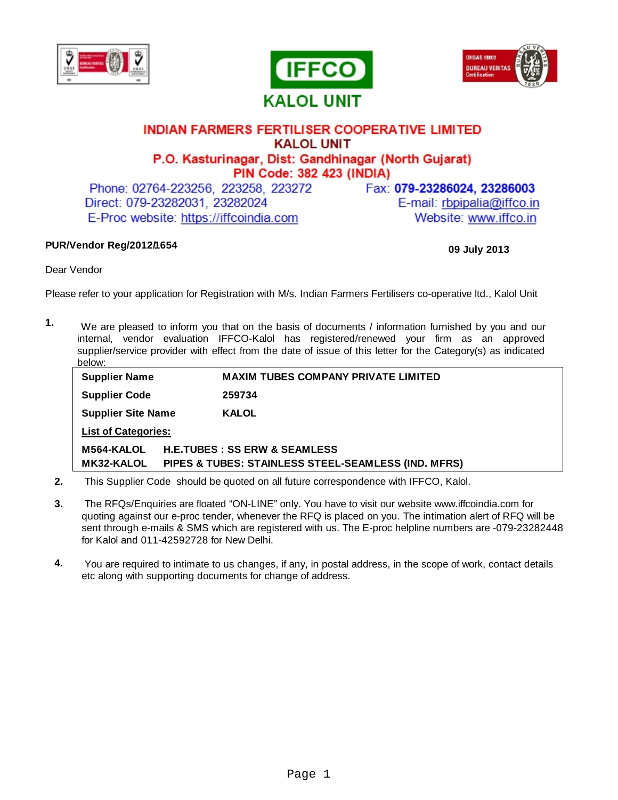





## **INDIAN FARMERS FERTILISER COOPERATIVE LIMITED KALOL UNIT** P.O. Kasturinagar, Dist: Gandhinagar (North Gujarat) PIN Code: 382 423 (INDIA)

Phone: 02764-223256, 223258, 223272 Direct: 079-23282031, 23282024 E-Proc website: https://iffcoindia.com

Fax: 079-23286024, 23286003

E-mail: rbpipalia@iffco.in Website: www.iffco.in

### **PUR/Vendor Reg/2012/ 1654**

#### **09 July 2013**

Dear Vendor

Please refer to your application for Registration with M/s. Indian Farmers Fertilisers co-operative ltd., Kalol Unit

 We are pleased to inform you that on the basis of documents / information furnished by you and our internal, vendor evaluation IFFCO-Kalol has registered/renewed your firm as an approved supplier/service provider with effect from the date of issue of this letter for the Category(s) as indicated below: **1.**

| <b>Supplier Name</b>       |                                                     | <b>MAXIM TUBES COMPANY PRIVATE LIMITED</b> |
|----------------------------|-----------------------------------------------------|--------------------------------------------|
| <b>Supplier Code</b>       |                                                     | 259734                                     |
| <b>Supplier Site Name</b>  |                                                     | <b>KALOL</b>                               |
| <b>List of Categories:</b> |                                                     |                                            |
| M564-KALOL                 | <b>H.E.TUBES: SS ERW &amp; SEAMLESS</b>             |                                            |
| <b>MK32-KALOL</b>          | PIPES & TUBES: STAINLESS STEEL-SEAMLESS (IND. MFRS) |                                            |

- **2.** This Supplier Code should be quoted on all future correspondence with IFFCO, Kalol.
- **3.** The RFQs/Enquiries are floated "ON-LINE" only. You have to visit our website www.iffcoindia.com for quoting against our e-proc tender, whenever the RFQ is placed on you. The intimation alert of RFQ will be sent through e-mails & SMS which are registered with us. The E-proc helpline numbers are -079-23282448 for Kalol and 011-42592728 for New Delhi.
- **4.** You are required to intimate to us changes, if any, in postal address, in the scope of work, contact details etc along with supporting documents for change of address.